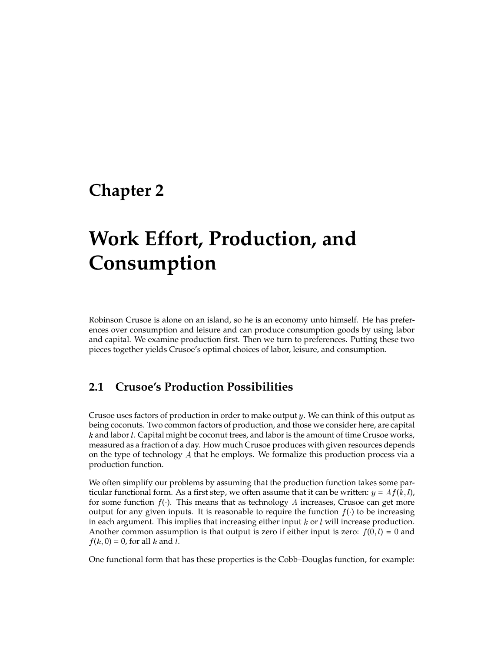# **Chapter 2**

# **Work Effort, Production, and Consumption**

Robinson Crusoe is alone on an island, so he is an economy unto himself. He has preferences over consumption and leisure and can produce consumption goods by using labor and capital. We examine production first. Then we turn to preferences. Putting these two pieces together yields Crusoe's optimal choices of labor, leisure, and consumption.

# **2.1 Crusoe's Production Possibilities**

Crusoe uses factors of production in order to make output y. We can think of this output as being coconuts. Two common factors of production, and those we consider here, are capital  $k$  and labor  $l$ . Capital might be coconut trees, and labor is the amount of time Crusoe works, measured as a fraction of a day. How much Crusoe produces with given resources depends on the type of technology <sup>A</sup> that he employs. We formalize this production process via a production function.

We often simplify our problems by assuming that the production function takes some particular functional form. As a first step, we often assume that it can be written:  $y = Af(k, l)$ , for some function  $f(.)$ . This means that as technology A increases, Crusoe can get more output for any given inputs. It is reasonable to require the function  $f(\cdot)$  to be increasing in each argument. This implies that increasing either input  $k$  or  $l$  will increase production. Another common assumption is that output is zero if either input is zero:  $f(0, l) = 0$  and  $f(k, 0) = 0$ , for all k and l.

One functional form that has these properties is the Cobb–Douglas function, for example: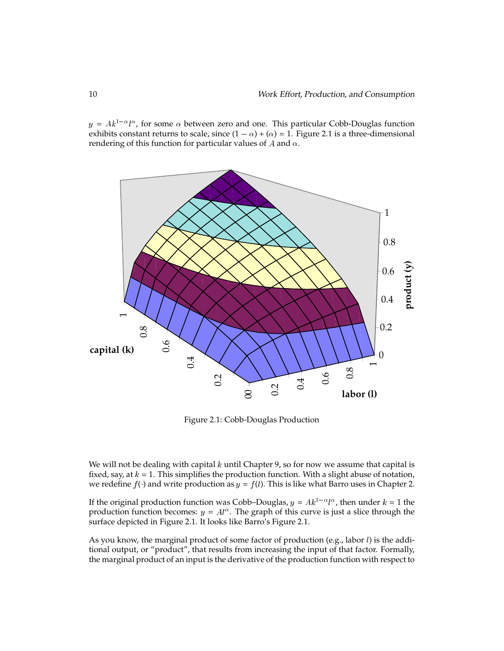$y = Ak^{1-\alpha}l^{\alpha}$ , for some  $\alpha$  between zero and one. This particular Cobb-Douglas function exhibits constant returns to scale, since  $(1 - \alpha) + (\alpha) = 1$ . Figure 2.1 is a three-dimensional rendering of this function for particular values of A and  $\alpha$ .



Figure 2.1: Cobb-Douglas Production

We will not be dealing with capital  $k$  until Chapter 9, so for now we assume that capital is fixed, say, at  $k = 1$ . This simplifies the production function. With a slight abuse of notation, we redefine  $f(\cdot)$  and write production as  $y = f(l)$ . This is like what Barro uses in Chapter 2.

If the original production function was Cobb–Douglas,  $y = Ak^{1-\alpha}l^{\alpha}$ , then under  $k = 1$  the production function becomes:  $y = A l^{\alpha}$ . The graph of this curve is just a slice through the surface depicted in Figure 2.1. It looks like Barro's Figure 2.1.

As you know, the marginal product of some factor of production (e.g., labor  $l$ ) is the additional output, or "product", that results from increasing the input of that factor. Formally, the marginal product of an input is the derivative of the production function with respect to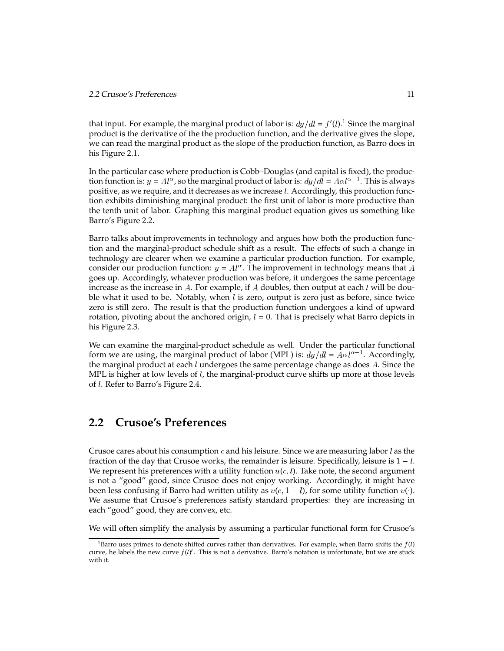that input. For example, the marginal product of labor is:  $dy/dl = f'(l)$ .<sup>1</sup> Since the marginal product is the derivative of the the production function, and the derivative gives the slope, we can read the marginal product as the slope of the production function, as Barro does in his Figure 2.1.

In the particular case where production is Cobb–Douglas (and capital is fixed), the production function is:  $y = A l^{\alpha}$ , so the marginal product of labor is:  $dy/dl = A \alpha l^{\alpha-1}$ . This is always positive, as we require, and it decreases as we increase l. Accordingly, this production function exhibits diminishing marginal product: the first unit of labor is more productive than the tenth unit of labor. Graphing this marginal product equation gives us something like Barro's Figure 2.2.

Barro talks about improvements in technology and argues how both the production function and the marginal-product schedule shift as a result. The effects of such a change in technology are clearer when we examine a particular production function. For example, consider our production function:  $y = A l^{\alpha}$ . The improvement in technology means that  $A$ goes up. Accordingly, whatever production was before, it undergoes the same percentage increase as the increase in A. For example, if A doubles, then output at each  $l$  will be double what it used to be. Notably, when  $l$  is zero, output is zero just as before, since twice zero is still zero. The result is that the production function undergoes a kind of upward rotation, pivoting about the anchored origin,  $l = 0$ . That is precisely what Barro depicts in his Figure 2.3.

We can examine the marginal-product schedule as well. Under the particular functional form we are using, the marginal product of labor (MPL) is:  $dy/dl = A\alpha l^{\alpha-1}$ . Accordingly, the marginal product at each  $l$  undergoes the same percentage change as does  $A$ . Since the MPL is higher at low levels of  $l$ , the marginal-product curve shifts up more at those levels of <sup>l</sup>. Refer to Barro's Figure 2.4.

## **2.2 Crusoe's Preferences**

Crusoe cares about his consumption  $c$  and his leisure. Since we are measuring labor  $l$  as the fraction of the day that Crusoe works, the remainder is leisure. Specifically, leisure is  $1 - l$ . We represent his preferences with a utility function  $u(c, l)$ . Take note, the second argument is not a "good" good, since Crusoe does not enjoy working. Accordingly, it might have been less confusing if Barro had written utility as  $v(c, 1 - l)$ , for some utility function  $v(\cdot)$ . We assume that Crusoe's preferences satisfy standard properties: they are increasing in each "good" good, they are convex, etc.

We will often simplify the analysis by assuming a particular functional form for Crusoe's

<sup>&</sup>lt;sup>1</sup>Barro uses primes to denote shifted curves rather than derivatives. For example, when Barro shifts the  $f(l)$ curve, he labels the new curve  $f(l)'$ . This is not a derivative. Barro's notation is unfortunate, but we are stuck with it.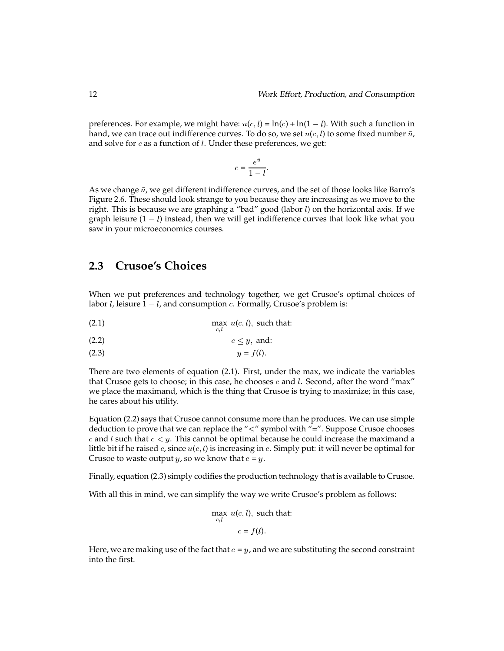preferences. For example, we might have:  $u(c, l) = \ln(c) + \ln(1 - l)$ . With such a function in hand, we can trace out indifference curves. To do so, we set  $u(c, l)$  to some fixed number  $\bar{u}$ , and solve for  $c$  as a function of  $l$ . Under these preferences, we get:

$$
c = \frac{e^{\bar{u}}}{1 - l}.
$$

As we change  $\bar{u}$ , we get different indifference curves, and the set of those looks like Barro's Figure 2.6. These should look strange to you because they are increasing as we move to the right. This is because we are graphing a "bad" good (labor  $l$ ) on the horizontal axis. If we graph leisure  $(1 - l)$  instead, then we will get indifference curves that look like what you saw in your microeconomics courses.

## 2.3 Crusoe's Choices

When we put preferences and technology together, we get Crusoe's optimal choices of labor *l*, leisure  $1 - l$ , and consumption *c*. Formally, Crusoe's problem is:

(2.1) 
$$
\max_{c,l} u(c,l), \text{ such that:}
$$

$$
(2.2) \t\t c \le y, \text{ and:}
$$

$$
(2.3) \t\t y = f(l)
$$

There are two elements of equation (2.1). First, under the max, we indicate the variables that Crusoe gets to choose; in this case, he chooses  $c$  and  $l$ . Second, after the word "max" we place the maximand, which is the thing that Crusoe is trying to maximize; in this case, he cares about his utility.

Equation (2.2) says that Crusoe cannot consume more than he produces. We can use simple deduction to prove that we can replace the " $\leq$ " symbol with "=". Suppose Crusoe chooses  $c$  and  $l$  such that  $c < y$ . This cannot be optimal because he could increase the maximand a little bit if he raised  $c$ , since  $u(c, l)$  is increasing in  $c$ . Simply put: it will never be optimal for Crusoe to waste output  $y$ , so we know that  $c = y$ .

Finally, equation (2.3) simply codifies the production technology that is available to Crusoe.

With all this in mind, we can simplify the way we write Crusoe's problem as follows:

$$
\max_{c,l} u(c,l), \text{ such that:}
$$

$$
c = f(l).
$$

Here, we are making use of the fact that  $c = y$ , and we are substituting the second constraint into the first.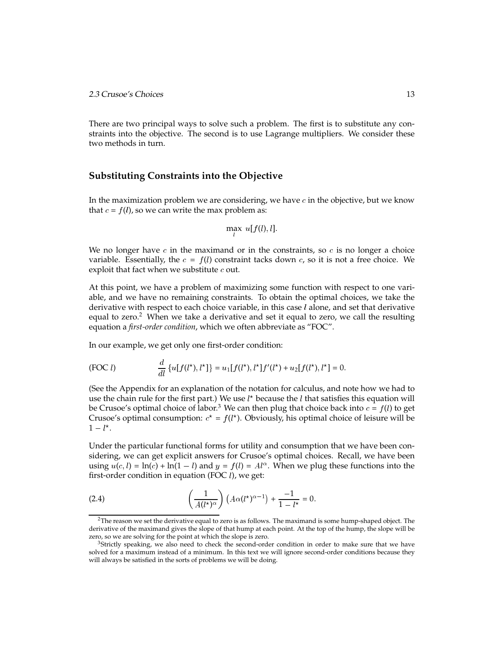There are two principal ways to solve such a problem. The first is to substitute any constraints into the objective. The second is to use Lagrange multipliers. We consider these two methods in turn.

#### **Substituting Constraints into the Objective**

In the maximization problem we are considering, we have  $c$  in the objective, but we know that  $c = f(l)$ , so we can write the max problem as:

$$
\max u[f(l), l]
$$

We no longer have  $c$  in the maximand or in the constraints, so  $c$  is no longer a choice variable. Essentially, the  $c = f(l)$  constraint tacks down c, so it is not a free choice. We exploit that fact when we substitute  $c$  out.

At this point, we have a problem of maximizing some function with respect to one variable, and we have no remaining constraints. To obtain the optimal choices, we take the derivative with respect to each choice variable, in this case  $l$  alone, and set that derivative equal to zero.<sup>2</sup> When we take a derivative and set it equal to zero, we call the resulting equation a *first-order condition*, which we often abbreviate as "FOC".

In our example, we get only one first-order condition:

(FOC l) 
$$
\frac{d}{dl} \{u[f(l^*), l^*]\} = u_1[f(l^*), l^*]f'(l^*) + u_2[f(l^*), l^*] = 0.
$$

(See the Appendix for an explanation of the notation for calculus, and note how we had to use the chain rule for the first part.) We use  $l^*$  because the  $l$  that satisfies this equation will be Crusoe's optimal choice of labor.<sup>3</sup> We can then plug that choice back into  $c = f(l)$  to get Crusoe's optimal consumption:  $c^* = f(l^*)$ . Obviously, his optimal choice of leisure will be  $1 - l^*$ .

Under the particular functional forms for utility and consumption that we have been considering, we can get explicit answers for Crusoe's optimal choices. Recall, we have been using  $u(c, l) = \ln(c) + \ln(1 - l)$  and  $y = f(l) = A^{\alpha}$ . When we plug these functions into the first-order condition in equation (FOC  $l$ ), we get:

(2.4) 
$$
\left(\frac{1}{A(l^{\star})^{\alpha}}\right) \left(A\alpha(l^{\star})^{\alpha-1}\right) + \frac{-1}{1-l^{\star}} = 0.
$$

 $2$ The reason we set the derivative equal to zero is as follows. The maximand is some hump-shaped object. The derivative of the maximand gives the slope of that hump at each point. At the top of the hump, the slope will be zero, so we are solving for the point at which the slope is zero.

<sup>&</sup>lt;sup>3</sup>Strictly speaking, we also need to check the second-order condition in order to make sure that we have solved for a maximum instead of a minimum. In this text we will ignore second-order conditions because they will always be satisfied in the sorts of problems we will be doing.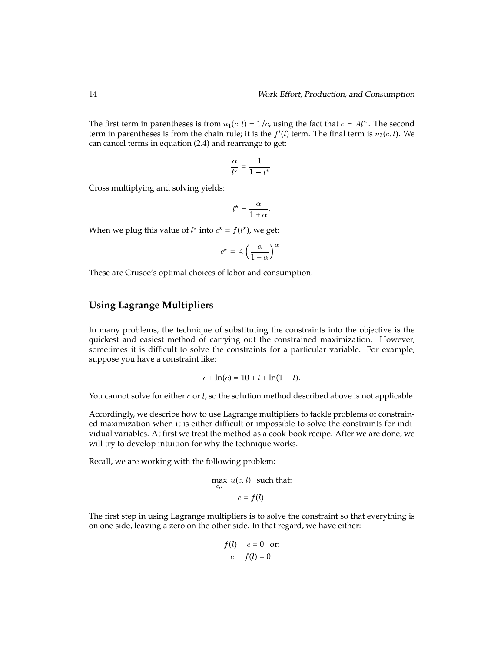The first term in parentheses is from  $u_1(c, l) = 1/c$ , using the fact that  $c = A l^{\alpha}$ . The second term in parentheses is from the chain rule; it is the  $f'(l)$  term. The final term is  $u_2(c, l)$ . We can cancel terms in equation (2.4) and rearrange to get:

$$
\frac{\alpha}{l^*} = \frac{1}{1 - l^*}.
$$

Cross multiplying and solving yields:

$$
l^* = \frac{\alpha}{1 + \alpha}.
$$

When we plug this value of  $l^*$  into  $c^* = f(l^*)$ , we get:

$$
c^* = A \left(\frac{\alpha}{1+\alpha}\right)^{\alpha}.
$$

These are Crusoe's optimal choices of labor and consumption.

#### **Using Lagrange Multipliers**

In many problems, the technique of substituting the constraints into the objective is the quickest and easiest method of carrying out the constrained maximization. However, sometimes it is difficult to solve the constraints for a particular variable. For example, suppose you have a constraint like:

$$
c + \ln(c) = 10 + l + \ln(1 - l).
$$

You cannot solve for either  $c$  or  $l$ , so the solution method described above is not applicable.

Accordingly, we describe how to use Lagrange multipliers to tackle problems of constrained maximization when it is either difficult or impossible to solve the constraints for individual variables. At first we treat the method as a cook-book recipe. After we are done, we will try to develop intuition for why the technique works.

Recall, we are working with the following problem:

$$
\max_{c,l} u(c,l), \text{ such that:}
$$

$$
c = f(l).
$$

The first step in using Lagrange multipliers is to solve the constraint so that everything is on one side, leaving a zero on the other side. In that regard, we have either:

$$
f(l) - c = 0, \text{ or:}
$$

$$
c - f(l) = 0.
$$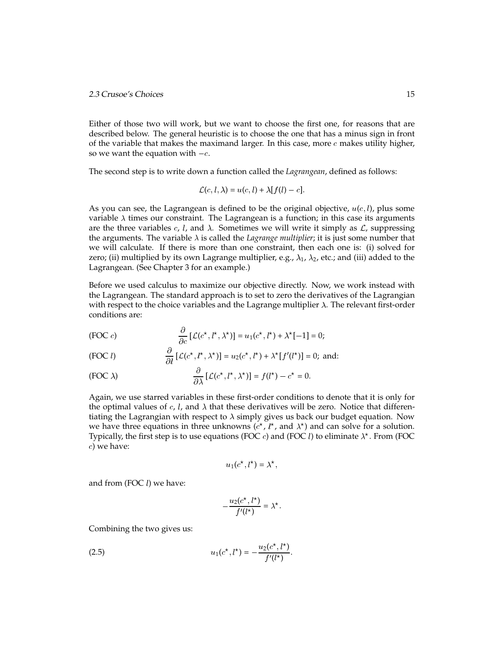Either of those two will work, but we want to choose the first one, for reasons that are described below. The general heuristic is to choose the one that has a minus sign in front of the variable that makes the maximand larger. In this case, more  $c$  makes utility higher, so we want the equation with  $-c$ .

The second step is to write down a function called the *Lagrangean*, defined as follows:

$$
\mathcal{L}(c, l, \lambda) = u(c, l) + \lambda[f(l) - c].
$$

As you can see, the Lagrangean is defined to be the original objective,  $u(c, l)$ , plus some variable  $\lambda$  times our constraint. The Lagrangean is a function; in this case its arguments are the three variables c, l, and  $\lambda$ . Sometimes we will write it simply as  $\mathcal{L}$ , suppressing the arguments. The variable  $\lambda$  is called the *Lagrange multiplier*; it is just some number that we will calculate. If there is more than one constraint, then each one is: (i) solved for zero; (ii) multiplied by its own Lagrange multiplier, e.g.,  $\lambda_1$ ,  $\lambda_2$ , etc.; and (iii) added to the Lagrangean. (See Chapter 3 for an example.)

Before we used calculus to maximize our objective directly. Now, we work instead with the Lagrangean. The standard approach is to set to zero the derivatives of the Lagrangian with respect to the choice variables and the Lagrange multiplier  $\lambda$ . The relevant first-order conditions are:

(FOC c) 
$$
\frac{\partial}{\partial c} \left[ \mathcal{L}(c^*, l^*, \lambda^*) \right] = u_1(c^*, l^*) + \lambda^* [-1] = 0;
$$

(FOC l) 
$$
\frac{\partial}{\partial l} [\mathcal{L}(c^*, l^*, \lambda^*)] = u_2(c^*, l^*) + \lambda^*[f'(l^*)] = 0; \text{ and:}
$$

(FOC 
$$
\lambda
$$
) 
$$
\frac{\partial}{\partial \lambda} [\mathcal{L}(c^*, l^*, \lambda^*)] = f(l^*) - c^* = 0.
$$

Again, we use starred variables in these first-order conditions to denote that it is only for the optimal values of c, l, and  $\lambda$  that these derivatives will be zero. Notice that differentiating the Lagrangian with respect to  $\lambda$  simply gives us back our budget equation. Now we have three equations in three unknowns ( $c^*$ ,  $l^*$ , and  $\lambda^*$ ) and can solve for a solution. Typically, the first step is to use equations (FOC  $c$ ) and (FOC  $l$ ) to eliminate  $\lambda^\star$ . From (FOC c) we have:

$$
u_1(c^*, l^*) = \lambda^*,
$$

and from (FOC $l$ ) we have:

$$
-\frac{u_2(c^*, l^*)}{f'(l^*)} = \lambda^*.
$$

Combining the two gives us:

(2.5) 
$$
u_1(c^*, l^*) = -\frac{u_2(c^*, l^*)}{f'(l^*)}.
$$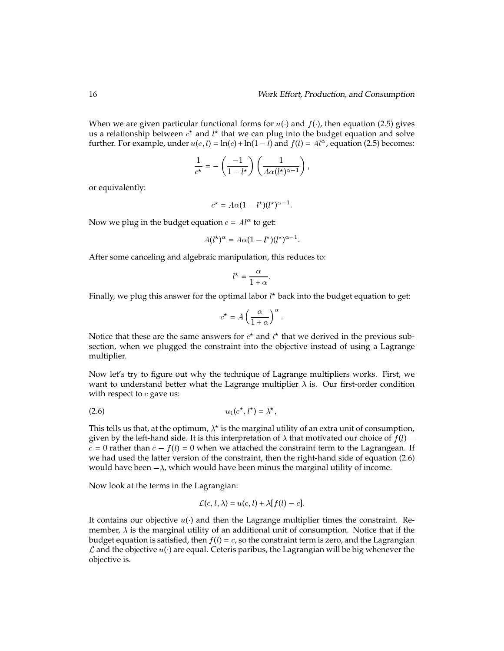When we are given particular functional forms for  $u(\cdot)$  and  $f(\cdot)$ , then equation (2.5) gives us a relationship between  $c^\star$  and  $l^\star$  that we can plug into the budget equation and solve further. For example, under  $u(c, l) = \ln(c) + \ln(1 - l)$  and  $f(l) = A l^{\alpha}$ , equation (2.5) becomes:

$$
\frac{1}{c^*} = -\left(\frac{-1}{1-l^*}\right)\left(\frac{1}{A\alpha(l^*)^{\alpha-1}}\right),\,
$$

or equivalently:

$$
c^* = A\alpha (1 - l^*) (l^*)^{\alpha - 1}.
$$

Now we plug in the budget equation  $c = A l^{\alpha}$  to get:

$$
A(l^{\star})^{\alpha} = A\alpha(1 - l^{\star})(l^{\star})^{\alpha - 1}.
$$

After some canceling and algebraic manipulation, this reduces to:

$$
l^* = \frac{\alpha}{1 + \alpha}.
$$

Finally, we plug this answer for the optimal labor  $l^\star$  back into the budget equation to get:

$$
c^* = A \left(\frac{\alpha}{1+\alpha}\right)^{\alpha}.
$$

Notice that these are the same answers for  $c^*$  and  $l^*$  that we derived in the previous subsection, when we plugged the constraint into the objective instead of using a Lagrange multiplier.

Now let's try to figure out why the technique of Lagrange multipliers works. First, we want to understand better what the Lagrange multiplier  $\lambda$  is. Our first-order condition with respect to  $c$  gave us:

$$
(2.6) \t\t\t u_1(c^*,l^*) = \lambda^*,
$$

This tells us that, at the optimum,  $\lambda^\star$  is the marginal utility of an extra unit of consumption, given by the left-hand side. It is this interpretation of  $\lambda$  that motivated our choice of  $f(l)$  –  $c = 0$  rather than  $c - f(l) = 0$  when we attached the constraint term to the Lagrangean. If we had used the latter version of the constraint, then the right-hand side of equation (2.6) would have been  $-\lambda$ , which would have been minus the marginal utility of income.

Now look at the terms in the Lagrangian:

$$
\mathcal{L}(c, l, \lambda) = u(c, l) + \lambda[f(l) - c].
$$

It contains our objective  $u(\cdot)$  and then the Lagrange multiplier times the constraint. Remember,  $\lambda$  is the marginal utility of an additional unit of consumption. Notice that if the budget equation is satisfied, then  $f(l) = c$ , so the constraint term is zero, and the Lagrangian  $\mathcal L$  and the objective  $u(\cdot)$  are equal. Ceteris paribus, the Lagrangian will be big whenever the objective is.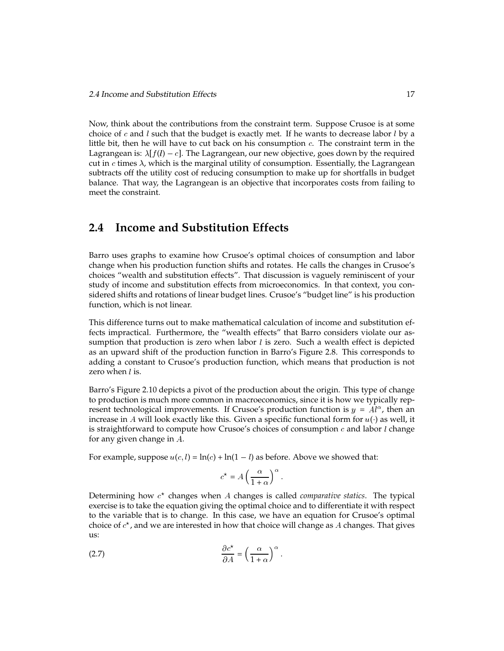Now, think about the contributions from the constraint term. Suppose Crusoe is at some choice of  $c$  and  $l$  such that the budget is exactly met. If he wants to decrease labor  $l$  by a little bit, then he will have to cut back on his consumption  $c$ . The constraint term in the Lagrangean is:  $\lambda[f(l) - c]$ . The Lagrangean, our new objective, goes down by the required cut in  $c$  times  $\lambda$ , which is the marginal utility of consumption. Essentially, the Lagrangean subtracts off the utility cost of reducing consumption to make up for shortfalls in budget balance. That way, the Lagrangean is an objective that incorporates costs from failing to meet the constraint.

# **2.4 Income and Substitution Effects**

Barro uses graphs to examine how Crusoe's optimal choices of consumption and labor change when his production function shifts and rotates. He calls the changes in Crusoe's choices "wealth and substitution effects". That discussion is vaguely reminiscent of your study of income and substitution effects from microeconomics. In that context, you considered shifts and rotations of linear budget lines. Crusoe's "budget line" is his production function, which is not linear.

This difference turns out to make mathematical calculation of income and substitution effects impractical. Furthermore, the "wealth effects" that Barro considers violate our assumption that production is zero when labor  $l$  is zero. Such a wealth effect is depicted as an upward shift of the production function in Barro's Figure 2.8. This corresponds to adding a constant to Crusoe's production function, which means that production is not zero when  $l$  is.

Barro's Figure 2.10 depicts a pivot of the production about the origin. This type of change to production is much more common in macroeconomics, since it is how we typically represent technological improvements. If Crusoe's production function is  $y = A<sup>l</sup>$ , then an increase in A will look exactly like this. Given a specific functional form for  $u(.)$  as well, it is straightforward to compute how Crusoe's choices of consumption  $c$  and labor  $l$  change for any given change in A.

For example, suppose  $u(c, l) = \ln(c) + \ln(1 - l)$  as before. Above we showed that:

$$
c^* = A \left(\frac{\alpha}{1+\alpha}\right)^{\alpha}.
$$

Determining how c<sup>\*</sup> changes when A changes is called *comparative statics*. The typical exercise is to take the equation giving the optimal choice and to differentiate it with respect to the variable that is to change. In this case, we have an equation for Crusoe's optimal choice of  $c^\star$ , and we are interested in how that choice will change as  $A$  changes. That gives us:

$$
\frac{\partial c^*}{\partial A} = \left(\frac{\alpha}{1+\alpha}\right)^{\alpha}.
$$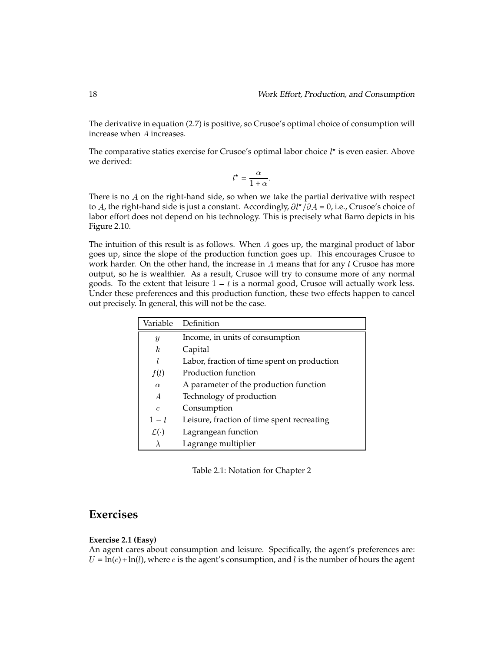The derivative in equation (2.7) is positive, so Crusoe's optimal choice of consumption will increase when A increases.

The comparative statics exercise for Crusoe's optimal labor choice  $l^{\star}$  is even easier. Above we derived:

$$
l^* = \frac{\alpha}{1 + \alpha}.
$$

There is no A on the right-hand side, so when we take the partial derivative with respect to A, the right-hand side is just a constant. Accordingly,  $\partial l^{\star}/\partial A = 0$ , i.e., Crusoe's choice of labor effort does not depend on his technology. This is precisely what Barro depicts in his Figure 2.10.

The intuition of this result is as follows. When <sup>A</sup> goes up, the marginal product of labor goes up, since the slope of the production function goes up. This encourages Crusoe to work harder. On the other hand, the increase in  $A$  means that for any  $l$  Crusoe has more output, so he is wealthier. As a result, Crusoe will try to consume more of any normal goods. To the extent that leisure  $1 - l$  is a normal good, Crusoe will actually work less. Under these preferences and this production function, these two effects happen to cancel out precisely. In general, this will not be the case.

|                      | Variable Definition                         |
|----------------------|---------------------------------------------|
| $\boldsymbol{y}$     | Income, in units of consumption             |
| k                    | Capital                                     |
| l                    | Labor, fraction of time spent on production |
| f(l)                 | Production function                         |
| $\alpha$             | A parameter of the production function      |
| A                    | Technology of production                    |
| $\mathcal{C}$        | Consumption                                 |
| $1-l$                | Leisure, fraction of time spent recreating  |
| $\mathcal{L}(\cdot)$ | Lagrangean function                         |
| λ                    | Lagrange multiplier                         |

Table 2.1: Notation for Chapter 2

# **Exercises**

#### **Exercise 2.1 (Easy)**

An agent cares about consumption and leisure. Specifically, the agent's preferences are:  $U = \ln(c) + \ln(l)$ , where c is the agent's consumption, and l is the number of hours the agent